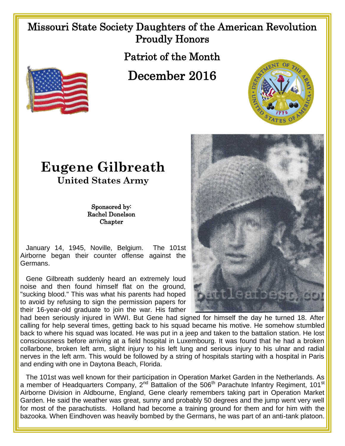## Missouri State Society Daughters of the American Revolution Proudly Honors

Patriot of the Month

December 2016







## **Eugene Gilbreath**

**United States Army**

Sponsored by: Rachel Donelson **Chapter** 

 January 14, 1945, Noville, Belgium. The 101st Airborne began their counter offense against the Germans.

Gene Gilbreath suddenly heard an extremely loud noise and then found himself flat on the ground, "sucking blood." This was what his parents had hoped to avoid by refusing to sign the permission papers for their 16-year-old graduate to join the war. His father

had been seriously injured in WWI. But Gene had signed for himself the day he turned 18. After calling for help several times, getting back to his squad became his motive. He somehow stumbled back to where his squad was located. He was put in a jeep and taken to the battalion station. He lost consciousness before arriving at a field hospital in Luxembourg. It was found that he had a broken collarbone, broken left arm, slight injury to his left lung and serious injury to his ulnar and radial nerves in the left arm. This would be followed by a string of hospitals starting with a hospital in Paris and ending with one in Daytona Beach, Florida.

 The 101st was well known for their participation in Operation Market Garden in the Netherlands. As a member of Headquarters Company,  $2^{nd}$  Battalion of the 506<sup>th</sup> Parachute Infantry Regiment, 101<sup>st</sup> Airborne Division in Aldbourne, England, Gene clearly remembers taking part in Operation Market Garden. He said the weather was great, sunny and probably 50 degrees and the jump went very well for most of the parachutists. Holland had become a training ground for them and for him with the bazooka. When Eindhoven was heavily bombed by the Germans, he was part of an anti-tank platoon.